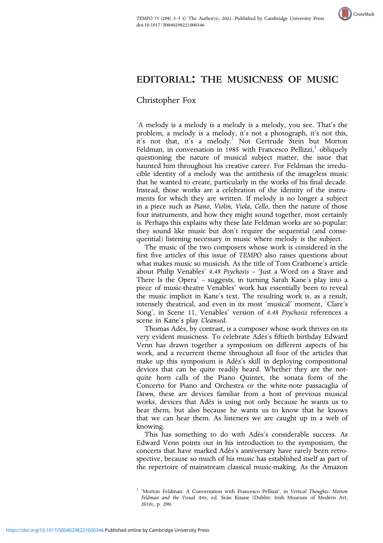

## EDITORIAL: THE MUSICNESS OF MUSIC

## Christopher Fox

'A melody is a melody is a melody is a melody, you see. That's the problem, a melody is a melody, it's not a photograph, it's not this, it's not that, it's a melody.' Not Gertrude Stein but Morton Feldman, in conversation in 1985 with Francesco Pellizzi, $\frac{1}{2}$  obliquely questioning the nature of musical subject matter, the issue that haunted him throughout his creative career. For Feldman the irreducible identity of a melody was the antithesis of the imageless music that he wanted to create, particularly in the works of his final decade. Instead, those works are a celebration of the identity of the instruments for which they are written. If melody is no longer a subject in a piece such as Piano, Violin, Viola, Cello, then the nature of those four instruments, and how they might sound together, most certainly is. Perhaps this explains why these late Feldman works are so popular: they sound like music but don't require the sequential (and consequential) listening necessary in music where melody is the subject.

The music of the two composers whose work is considered in the first five articles of this issue of TEMPO also raises questions about what makes music so musicish. As the title of Tom Crathorne's article about Philip Venables' 4.48 Psychosis – 'Just a Word on a Stave and There Is the Opera' – suggests, in turning Sarah Kane's play into a piece of music-theatre Venables' work has essentially been to reveal the music implicit in Kane's text. The resulting work is, as a result, intensely theatrical, and even in its most 'musical' moment, 'Clare's Song', in Scene 11, Venables' version of 4.48 Psychosis references a scene in Kane's play Cleansed.

Thomas Adès, by contrast, is a composer whose work thrives on its very evident musicness. To celebrate Adès's fiftieth birthday Edward Venn has drawn together a symposium on different aspects of his work, and a recurrent theme throughout all four of the articles that make up this symposium is Adès's skill in deploying compositional devices that can be quite readily heard. Whether they are the notquite horn calls of the Piano Quintet, the sonata form of the Concerto for Piano and Orchestra or the white-note passacaglia of Dawn, these are devices familiar from a host of previous musical works, devices that Adès is using not only because he wants us to hear them, but also because he wants us to know that he knows that we can hear them. As listeners we are caught up in a web of knowing.

This has something to do with Adès's considerable success. As Edward Venn points out in his introduction to the symposium, the concerts that have marked Adès's anniversary have rarely been retrospective, because so much of his music has established itself as part of the repertoire of mainstream classical music-making. As the Amazon

<sup>&</sup>lt;sup>1</sup> 'Morton Feldman: A Conversation with Francesco Pellizzi', in Vertical Thoughts: Morton Feldman and the Visual Arts, ed. Seán Kisane (Dublin: Irish Museum of Modern Art, 2010), p. 290.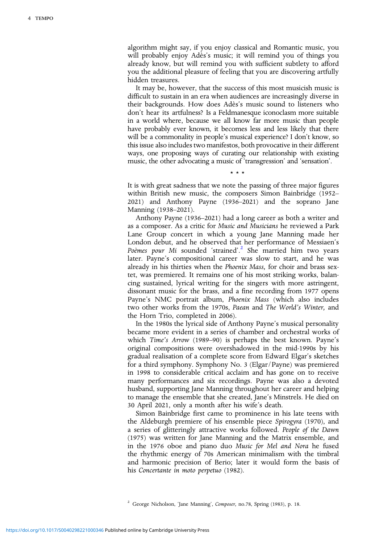algorithm might say, if you enjoy classical and Romantic music, you will probably enjoy Adès's music; it will remind you of things you already know, but will remind you with sufficient subtlety to afford you the additional pleasure of feeling that you are discovering artfully hidden treasures.

It may be, however, that the success of this most musicish music is difficult to sustain in an era when audiences are increasingly diverse in their backgrounds. How does Adès's music sound to listeners who don't hear its artfulness? Is a Feldmanesque iconoclasm more suitable in a world where, because we all know far more music than people have probably ever known, it becomes less and less likely that there will be a commonality in people's musical experience? I don't know, so this issue also includes two manifestos, both provocative in their different ways, one proposing ways of curating our relationship with existing music, the other advocating a music of 'transgression' and 'sensation'.

It is with great sadness that we note the passing of three major figures within British new music, the composers Simon Bainbridge (1952– 2021) and Anthony Payne (1936–2021) and the soprano Jane Manning (1938–2021).

\*\*\*

Anthony Payne (1936–2021) had a long career as both a writer and as a composer. As a critic for Music and Musicians he reviewed a Park Lane Group concert in which a young Jane Manning made her London debut, and he observed that her performance of Messiaen's Poèmes pour Mi sounded 'strained'.<sup>2</sup> She married him two years later. Payne's compositional career was slow to start, and he was already in his thirties when the Phoenix Mass, for choir and brass sextet, was premiered. It remains one of his most striking works, balancing sustained, lyrical writing for the singers with more astringent, dissonant music for the brass, and a fine recording from 1977 opens Payne's NMC portrait album, Phoenix Mass (which also includes two other works from the 1970s, Paean and The World's Winter, and the Horn Trio, completed in 2006).

In the 1980s the lyrical side of Anthony Payne's musical personality became more evident in a series of chamber and orchestral works of which Time's Arrow (1989–90) is perhaps the best known. Payne's original compositions were overshadowed in the mid-1990s by his gradual realisation of a complete score from Edward Elgar's sketches for a third symphony. Symphony No. 3 (Elgar/Payne) was premiered in 1998 to considerable critical acclaim and has gone on to receive many performances and six recordings. Payne was also a devoted husband, supporting Jane Manning throughout her career and helping to manage the ensemble that she created, Jane's Minstrels. He died on 30 April 2021, only a month after his wife's death.

Simon Bainbridge first came to prominence in his late teens with the Aldeburgh premiere of his ensemble piece Spirogyra (1970), and a series of glitteringly attractive works followed. People of the Dawn (1975) was written for Jane Manning and the Matrix ensemble, and in the 1976 oboe and piano duo Music for Mel and Nora he fused the rhythmic energy of 70s American minimalism with the timbral and harmonic precision of Berio; later it would form the basis of his Concertante in moto perpetuo (1982).

<sup>2</sup> George Nicholson, 'Jane Manning', Composer, no.78, Spring (1983), p. 18.